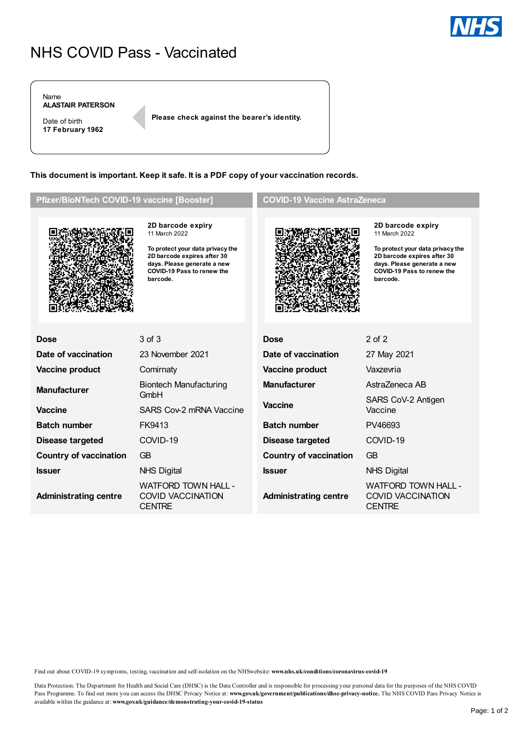# NHS COVID Pass - Vaccinated

Name **ALASTAIR PATERSON**

Date of birth **17 February 1962** **Please check against the bearer's identity.**

**This document is important. Keep it safe. It is a PDF copy of your vaccination records.**

## **Pfizer/BioNTech COVID-19 vaccine [Booster]**



**2D barcode expiry** 11 March 2022

**To protect your data privacy the 2D barcode expires after 30 days. Please generate a new COVID-19 Pass to renew the barcode.**

### **COVID-19 Vaccine AstraZeneca**



**2D barcode expiry** 11 March 2022

**To protect your data privacy the 2D barcode expires after 30 days. Please generate a new COVID-19 Pass to renew the barcode.**

| <b>Dose</b>                   | 3 of 3                                                                  | <b>Dose</b>                   | $2$ of $2$                                                              |
|-------------------------------|-------------------------------------------------------------------------|-------------------------------|-------------------------------------------------------------------------|
| Date of vaccination           | 23 November 2021                                                        | Date of vaccination           | 27 May 2021                                                             |
| Vaccine product               | Comirnaty                                                               | Vaccine product               | Vaxzevria                                                               |
| <b>Manufacturer</b>           | <b>Manufacturer</b><br>Biontech Manufacturing<br>GmbH                   | AstraZeneca AB                |                                                                         |
|                               |                                                                         | <b>Vaccine</b>                | SARS CoV-2 Antigen                                                      |
| <b>Vaccine</b>                | SARS Cov-2 mRNA Vaccine                                                 |                               | Vaccine                                                                 |
| <b>Batch number</b>           | FK9413                                                                  | <b>Batch number</b>           | PV46693                                                                 |
| <b>Disease targeted</b>       | COVID-19                                                                | <b>Disease targeted</b>       | COVID-19                                                                |
| <b>Country of vaccination</b> | GB                                                                      | <b>Country of vaccination</b> | GB                                                                      |
| <b>Issuer</b>                 | <b>NHS Digital</b>                                                      | <b>Issuer</b>                 | <b>NHS Digital</b>                                                      |
| <b>Administrating centre</b>  | <b>WATFORD TOWN HALL -</b><br><b>COVID VACCINATION</b><br><b>CENTRE</b> | <b>Administrating centre</b>  | <b>WATFORD TOWN HALL -</b><br><b>COVID VACCINATION</b><br><b>CENTRE</b> |

Find out about COVID-19 symptoms, testing, vaccination and self-isolation on the NHSwebsite: **www.nhs.uk/conditions/coronavirus-covid-19**

Data Protection: The Department for Health and Social Care (DHSC) is the Data Controller and is responsible for processingyour personal data for the purposes of the NHS COVID Pass Programme. To find out more you can access the DHSC Privacy Notice at: www.gov.uk/government/publications/dhsc-privacy-notice. The NHS COVID Pass Privacy Notice is available within the guidance at: **www.gov.uk/guidance/demonstrating-your-covid-19-status**